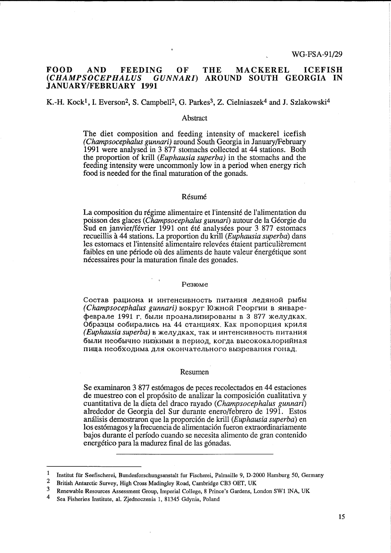# FOOD AND FEEDING OF THE MACKEREL ICEFISH<br>(CHAMPSOCEPHALUS GUNNARI) AROUND SOUTH GEORGIA IN *(CHAMPSOCEPHALUS GUNNARI)* AROUND SOUTH GEORGIA IN JANUARY/FEBRUARY 1991

# K.-H. Kock<sup>1</sup>, I. Everson<sup>2</sup>, S. Campbell<sup>2</sup>, G. Parkes<sup>3</sup>, Z. Cielniaszek<sup>4</sup> and J. Szlakowski<sup>4</sup>

## Abstract

The diet composition and feeding intensity of mackerel icefish (Champsocephalus gunnari) around South Georgia in January/February 1991 were analysed in 3 877 stomachs collected at 44 stations. Both the proportion of krill (Euphausia superba) in the stomachs and the feeding intensity were uncommonly low in a period when energy rich food is needed for the final maturation of the gonads.

## Résumé

La composition du régime alimentaire et l'intensité de l'alimentation du poisson des glaces (Champsocephalus gunnari) autour de la Georgie du Sud en janvier/février 1991 ont été analysées pour 3 877 estomacs recueillis a 44 stations. La proportion du krill (Euphausia superba) dans les estomacs et l'intensité alimentaire relevées étaient particulièrement faibles en une période où des aliments de haute valeur énergétique sont nécessaires pour la maturation finale des gonades.

## Pe3IOMe

Состав рациона и интенсивность питания ледяной рыбы  $(Champsocephalus gunnari)$  вокруг Южной Георгии в январефеврале 1991 г. были проанализированы в 3 877 желудках. Образцы собирались на 44 станциях. Как пропорция криля (Euphausia superba) в желудках, так и интенсивность питания были необычно низкими в период, когда высококалорийная пища необходима для окончательного вызревания гонад.

#### Resumen

Se examinaron 3 877 estómagos de peces recolectados en 44 estaciones de muestreo con el propósito de analizar la composición cualitativa y cuantitativa de la dieta del draco rayado (Champsocephalus gunnari) alrededor de Georgia del Sur durante enero/febrero de 1991. Estos análisis demostraron que la proporción de krill (Euphausia superba) en los estómagos y la frecuencia de alimentación fueron extraordinariamente bajos durante el periodo cuando se necesita alimento de gran contenido energético para la madurez final de las gónadas.

<sup>1</sup> Institut für Seefischerei, Bundesforschungsanstalt fur Fischerei, Palmaille 9, D-2000 Hamburg 50, Germany

<sup>&</sup>lt;sup>2</sup> British Antarctic Survey, High Cross Madingley Road, Cambridge CB3 OET, UK<br><sup>3</sup> Benawable Becourses Assessment Group Imperial Collage & Brings's Gardens I

<sup>&</sup>lt;sup>3</sup> Renewable Resources Assessment Group, Imperial College, 8 Prince's Gardens, London SW1 INA, UK

<sup>4</sup> Sea Fisheries Institute, al. Zjednoczenia 1, 81345 Gdynia, Poland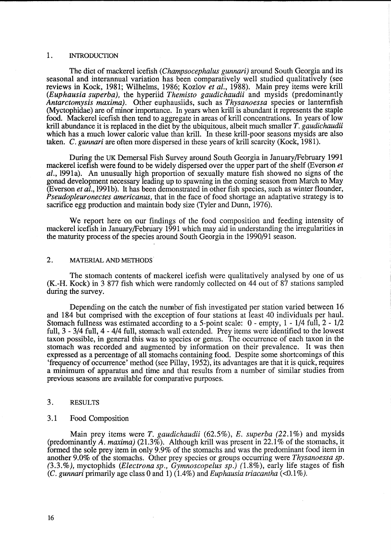## 1. INTRODUCTION

The diet of mackerel icefish *(Champsocephalus gunnari)* around South Georgia and its seasonal and interannual variation has been comparatively well studied qualitatively (see reviews in Kock, 1981; Wilhelms, 1986; Kozlov *et al.,* 1988). Main prey items were krill *(Euphausia superba),* the hyperiid *Themisto gaudichaudii* and mysids (predominantly *Antarctomysis maxima).* Other euphausiids, such as *Thysanoessa* species or lanternfish (Myctophidae) are of minor importance. In years when krill is abundant it represents the staple food. Mackerel icefish then tend to aggregate in areas of krill concentrations. In years of low krill abundance it is replaced in the diet by the ubiquitous, albeit much smaller *T. gaudichaudii*  which has a much lower caloric value than krill. In these krill-poor seasons mysids are also taken. C. *gunnari* are often more dispersed in these years of krill scarcity (Kock, 1981).

During the UK Demersal Fish Survey around South Georgia in January/February 1991 mackerel icefish were found to be widely dispersed over the upper part of the shelf (Everson *et al.,* 1991a). An unusually high proportion of sexually mature fish showed no signs of the gonad development necessary leading up to spawning in the coming season from March to May (Everson *et al.,* 1991b). lt has been demonstrated in other fish species, such as winter flounder, *Pseudopleuronectes americanus,* that in the face of food shortage an adaptative strategy is to sacrifice egg production and maintain body size (Tyler and Dunn, 1976).

We report here on our findings of the food composition and feeding intensity of mackerel icefish in January/February 1991 which may aid in understanding the irregularities in the maturity process of the species around South Georgia in the 1990/91 season.

# 2. MATERIAL AND METHODS

The stomach contents of mackerel icefish were qualitatively analysed by one of us (K.-H. Kock) in 3 877 fish which were randomly collected on 44 out of 87 stations sampled during the survey.

Depending on the catch the number of fish investigated per station varied between 16 and 184 but comprised with the exception of four stations at least 40 individuals per haul. Stomach fullness was estimated according to a 5-point scale: 0- empty, 1 - 1/4 full, 2- 1/2 full, 3 - 3/4 full, 4- 4/4 full, stomach wall extended. Prey items were identified to the lowest taxon possible, in general this was to species or genus. The occurrence of each taxon in the stomach was recorded and augmented by information on their prevalence. It was then expressed as a percentage of all stomachs containing food. Despite some shortcomings of this 'frequency of occurrence' method (see Pillay, 1952), its advantages are that it is quick, requires a minimum of apparatus and titne and that results from a number of similar studies from previous seasons are available for comparative purposes.

# 3. RESULTS

#### 3.1 Food Composition

Main prey items were *T. gaudichaudii* (62.5%), *E. superba* (22.1 %) and mysids (predominantly *A. maxima)* (21.3%). Although krill was present in 22.1% of the stomachs, it formed the sole prey item in only 9.9% of the stomachs and was the predominant food item in another 9.0% of the stomachs. Other prey species or groups occurring were *Thysanoessa sp. (3.3.%),* myctophids *(Electrona sp., Gymnoscopelus sp.)* (1.8%), early life stages of fish (C. *gunnari* primarily age class 0 and 1) (1.4%) and *Euphausia triacantha* (<0.1 %).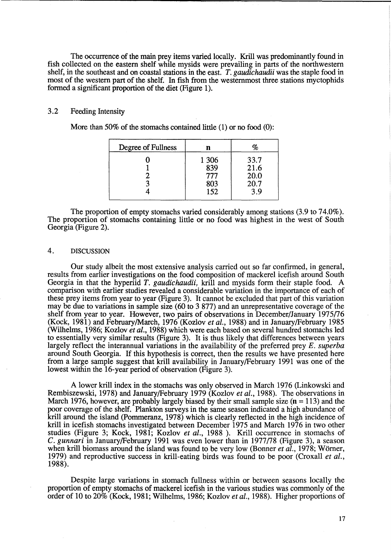The occurrence of the main prey items varied locally. Krill was predominantly found in fish collected on the eastern shelf while mysids were prevailing in parts of the northwestern shelf, in the southeast and on coastal stations in the east. *T. gaudichaudii* was the staple food in most of the western part of the shelf. In fish from the westernmost three stations myctophids formed a significant proportion of the diet (Figure 1).

# 3.2 Feeding Intensity

More than 50% of the stomachs contained little (1) or no food (0):

| Degree of Fullness |                                     | %                                   |
|--------------------|-------------------------------------|-------------------------------------|
|                    | 1 3 0 6<br>839<br>777<br>803<br>152 | 33.7<br>21.6<br>20.0<br>20.7<br>3.9 |

The proportion of empty stomachs varied considerably among stations (3.9 to 74.0%). The proportion of stomachs containing little or no food was highest in the west of South Georgia (Figure 2).

# 4. DISCUSSION

Our study albeit the most extensive analysis carried out so far confirmed, in general, results from earlier investigations on the food composition of mackerel icefish around South Georgia in that the hyperiid *T. gaudichaudii,* krill and mysids form their staple food. A comparison with earlier studies revealed a considerable variation in the importance of each of these prey items from year to year (Figure 3). It cannot be excluded that part of this variation may be due to variations in sample size (60 to 3 877) and an unrepresentative coverage of the shelf from year to year. However, two pairs of observations in December/January 1975/76 (Kock, 1981) and February/March, 1976 (Kozlov *et al.,* 1988) and in January/February 1985 (Wilhelms, 1986; Kozlov *et al.,* 1988) which were each based on several hundred stomachs led to essentially very similar results (Figure 3). It is thus likely that differences between years largely reflect the interannual variations in the availability of the preferred prey *E. superba*  around South Georgia. If this hypothesis is correct, then the results we have presented here from a large sample suggest that krill availability in January/February 1991 was one of the lowest within the 16-year period of observation (Figure 3).

A lower krill index in the stomachs was only observed in March 1976 (Linkowski and Rembiszewski, 1978) and January/February 1979 (Kozlov *et al.,* 1988). The observations in March 1976, however, are probably largely biased by their small sample size  $(n = 113)$  and the poor coverage of the shelf. Plankton surveys in the same season indicated a high abundance of krill around the island (Pommeranz, 1978) which is clearly reflected in the high incidence of krill in icefish stomachs investigated between December 1975 and March 1976 in two other studies (Figure 3; Kock, 1981; Kozlov *et al.,* 1988 ). Krill occurrence in stomachs of *C. gunnari* in January/February 1991 was even lower than in 1977/78 (Figure 3), a season when krill biomass around the island was found to be very low (Bonner *et al.,* 1978; Worner, 1979) and reproductive success in krill-eating birds was found to be poor (Croxall *et al.,*  1988).

Despite large variations in stomach fullness within or between seasons locally the proportion of empty stomachs of mackerel icefish in the various studies was commonly of the order of 10 to 20% (Kock, 1981; Wilhelms, 1986; Kozlov *et al.,* 1988). Higher proportions of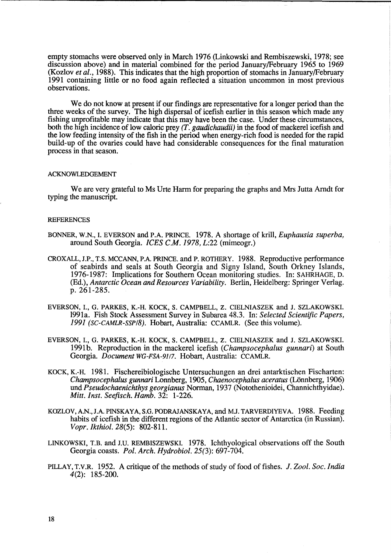empty stomachs were observed only in March 1976 (Linkowski and Rembiszewski, 1978; see discussion above) and in material combined for the period January/February 1965 to 1969 (Kozlov *et al.,* 1988). This indicates that the high proportion of stomachs in January/February 1991 containing little or no food again reflected a situation uncommon in most previous observations.

We do not know at present if our findings are representative for a longer period than the three weeks of the survey. The high dispersal of icefish earlier in this season which made any fishing unprofitable may indicate that this may have been the case. Under these circumstances, both the high incidence of low caloric prey *(T. gaudichaudii)* in the food of mackerel icefish and the low feeding intensity of the fish in the period when energy-rich food is needed for the rapid build-up of the ovaries could have had considerable consequences for the final maturation process in that season.

#### ACKNOWLEDGEMENT

We are very grateful to Ms Urte Harm for preparing the graphs and Mrs Jutta Arndt for typing the manuscript.

## **REFERENCES**

- BONNER, W.N., I. EVERSON and P.A. PRINCE. 1978. A shortage of krill, *Euphausia superba,*  around South Georgia. *ICES C.M. 1978, L:22* (mimeogr.)
- CROXALL, J.P., T.S. MCCANN, P.A. PRINCE. and P. ROTHERY. 1988. Reproductive performance of seabirds and seals at South Georgia and Signy Island, South Orkney Islands, 1976-1987: Implications for Southern Ocean monitoring studies. In: SAHRHAGE, D. (Ed.), *Antarctic Ocean and Resources Variability.* Berlin, Heidelberg: Springer Verlag. p. 261-285.
- EVERSON, 1., G. PARKES, K.-H. KOCK, S. CAMPBELL, Z. CIELNIASZEK and J. SZLAKOWSKI. 1991a. Fish Stock Assessment Survey in Subarea 48.3. In: *Selected Scientific Papers, 1991 (SC-CAMLR-SSP/8).* Hobart, Australia: CCAMLR. (See this volume).
- EVERSON, 1., G. PARKES, K.-H. KOCK, S. CAMPBELL, Z. CIELNIASZEK and J. SZLAKOWSKI. 1991b. Reproduction in the mackerel icefish *(Champsocephalus gunnari)* at South Georgia. *Document WG-FSA-9117.* Hobart, Australia: CCAMLR.
- KOCK, K.-H. 1981. Fischereibiologische Untersuchungen an drei antarktischen Fischarten: *Champsocephalus gunnari Lonnberg, 1905, Chaenocephalus aceratus (Lönnberg, 1906) undPseudochaenichthys georgianus* Norman, 1937 (Notothenioidei, Channichthyidae). *Mitt. Inst. Seefisch. Hamb.* 32: 1-226.
- KOZLOV, A.N., J.A. PINSKA YA, S.G. PODRAJANSKAYA, and M.J. TARVERDIYEVA. 1988. Feeding habits of icefish in the different regions of the Atlantic sector of Antarctica (in Russian). *Vopr.1kthiol.* 28(5): 802-811.
- LINKOWSKI, T.B. and J.U. REMBISZEWSKI. 1978. Ichthyological observations off the South Georgia coasts. *Pol. Arch. Hydrobiol.* 25(3): 697-704.
- PILLAY, T.V.R. 1952. A critique of the methods of study of food of fishes. J. *Zool. Soc. India*  4(2): 185-200.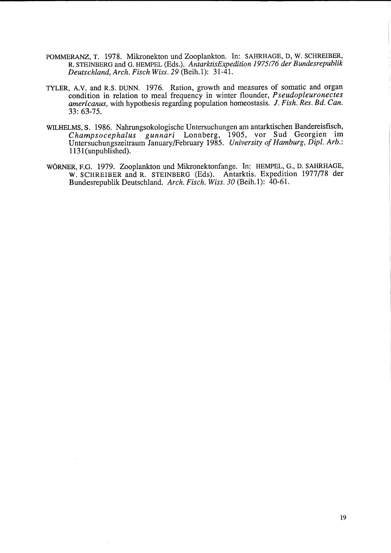- POMMERANZ, T. 1978. Mikronekton und Zooplankton. In: SAHRHAGE, D, W. SCHREIBER, R. S1EINBERG and G. HEMPEL (Eds.). *AntarktisExpedition 1975176 der Bundesrepublik Deutschland, Arch. Fisch Wiss. 29* (Beih.1): 31-41.
- TYLER, A.V. and R.S. DUNN. 1976. Ration, growth and measures of somatic and organ condition in relation to meal frequency in winter flounder, *Pseudopleuronectes americanus,* with hypothesis regarding population homeostasis. J. *Fish. Res. Bd. Can.*  33: 63-75.
- WILHELMS, S. 1986. Nahrungsokologische Untersuchungen am antarktischen Bandereisfisch, *Champsocephalus gunnari* Lonnberg, 1905, vor Sud Georgien im Untersuchungszeitraum January/February 1985. *University of Hamburg, Dipl. Arb.:*  1131(unpublished).
- WORNER, F.G. 1979. Zooplankton und Mikronektonfange. In: HEMPEL, G., D. SAHRHAGE, W. SCHREIBER and R. STEINBERG (Eds). Antarktis. Expedition 1977/78 der Bundesrepublik Deutschland. *Arch. Fisch. Wiss. 30* (Beih.l): 40-61.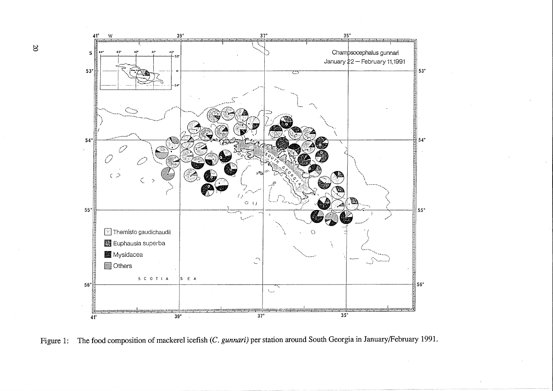



1:5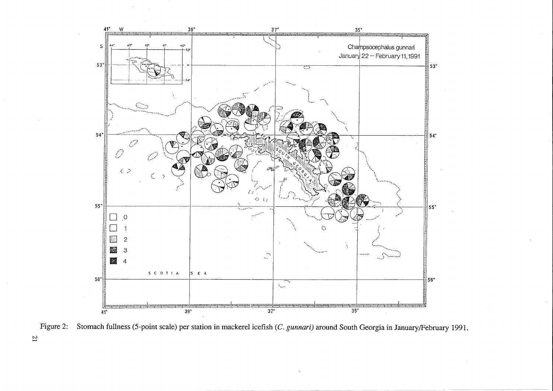

Figure 2: Stomach fullness (5-point scale) per station in mackerel icefish (C. *gunnari)* around South Georgia in January/February 1991.

 $\overline{z}$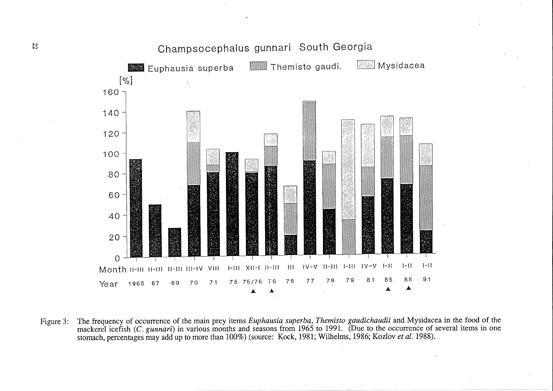

Figure 3: The frequency of occurrence of the main prey items *Euphausia superba, Themisto gaudichaudii* and Mysidacea in the food of the mackerel icefish (C. *gunnari*) in various months and seasons from 1965 to 1991. (Due to the occurrence of several items in one stomach, percentages may add up to more than 100%) (source: Kock, 1981; Wilhelms, 1986; Kozlov *et al.* 1988).